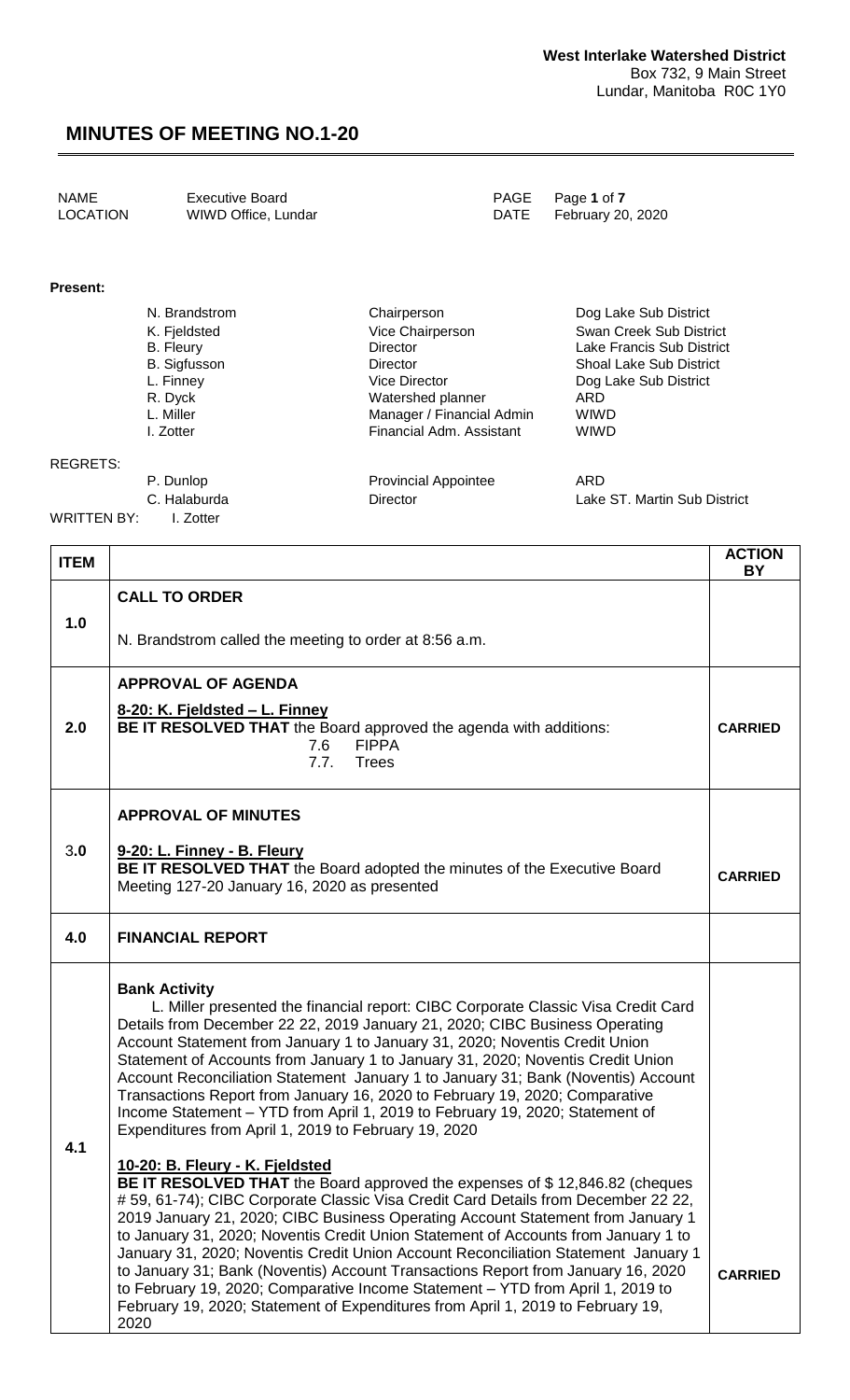#### **Present:**

| N. Brandstrom       | Chairperson               | Dog Lake Sub District          |
|---------------------|---------------------------|--------------------------------|
| K. Fjeldsted        | Vice Chairperson          | Swan Creek Sub District        |
| B. Fleury           | Director                  | Lake Francis Sub District      |
| <b>B.</b> Sigfusson | Director                  | <b>Shoal Lake Sub District</b> |
| L. Finney           | <b>Vice Director</b>      | Dog Lake Sub District          |
| R. Dyck             | Watershed planner         | ARD                            |
| L. Miller           | Manager / Financial Admin | <b>WIWD</b>                    |
| I. Zotter           | Financial Adm. Assistant  | <b>WIWD</b>                    |
|                     |                           |                                |
|                     |                           |                                |

#### REGRETS:

WRITTEN BY: I. Zotter

P. Dunlop **Provincial Appointee** ARD C. Halaburda **Director** Director **Lake ST. Martin Sub District** 

| <b>ITEM</b> |                                                                                                                                                                                                                                                                                                                                                                                                                                                                                                                                                                                                                                                                                                                                     | <b>ACTION</b><br><b>BY</b> |
|-------------|-------------------------------------------------------------------------------------------------------------------------------------------------------------------------------------------------------------------------------------------------------------------------------------------------------------------------------------------------------------------------------------------------------------------------------------------------------------------------------------------------------------------------------------------------------------------------------------------------------------------------------------------------------------------------------------------------------------------------------------|----------------------------|
|             | <b>CALL TO ORDER</b>                                                                                                                                                                                                                                                                                                                                                                                                                                                                                                                                                                                                                                                                                                                |                            |
| 1.0         | N. Brandstrom called the meeting to order at 8:56 a.m.                                                                                                                                                                                                                                                                                                                                                                                                                                                                                                                                                                                                                                                                              |                            |
|             | <b>APPROVAL OF AGENDA</b>                                                                                                                                                                                                                                                                                                                                                                                                                                                                                                                                                                                                                                                                                                           |                            |
| 2.0         | 8-20: K. Fjeldsted - L. Finney<br>BE IT RESOLVED THAT the Board approved the agenda with additions:<br><b>FIPPA</b><br>7.6<br>7.7.<br><b>Trees</b>                                                                                                                                                                                                                                                                                                                                                                                                                                                                                                                                                                                  | <b>CARRIED</b>             |
|             | <b>APPROVAL OF MINUTES</b>                                                                                                                                                                                                                                                                                                                                                                                                                                                                                                                                                                                                                                                                                                          |                            |
| 3.0         | 9-20: L. Finney - B. Fleury<br>BE IT RESOLVED THAT the Board adopted the minutes of the Executive Board<br>Meeting 127-20 January 16, 2020 as presented                                                                                                                                                                                                                                                                                                                                                                                                                                                                                                                                                                             | <b>CARRIED</b>             |
| 4.0         | <b>FINANCIAL REPORT</b>                                                                                                                                                                                                                                                                                                                                                                                                                                                                                                                                                                                                                                                                                                             |                            |
| 4.1         | <b>Bank Activity</b><br>L. Miller presented the financial report: CIBC Corporate Classic Visa Credit Card<br>Details from December 22 22, 2019 January 21, 2020; CIBC Business Operating<br>Account Statement from January 1 to January 31, 2020; Noventis Credit Union<br>Statement of Accounts from January 1 to January 31, 2020; Noventis Credit Union<br>Account Reconciliation Statement January 1 to January 31; Bank (Noventis) Account<br>Transactions Report from January 16, 2020 to February 19, 2020; Comparative<br>Income Statement - YTD from April 1, 2019 to February 19, 2020; Statement of<br>Expenditures from April 1, 2019 to February 19, 2020                                                              |                            |
|             | 10-20: B. Fleury - K. Fjeldsted<br>BE IT RESOLVED THAT the Board approved the expenses of \$12,846.82 (cheques<br>#59, 61-74); CIBC Corporate Classic Visa Credit Card Details from December 22 22,<br>2019 January 21, 2020; CIBC Business Operating Account Statement from January 1<br>to January 31, 2020; Noventis Credit Union Statement of Accounts from January 1 to<br>January 31, 2020; Noventis Credit Union Account Reconciliation Statement January 1<br>to January 31; Bank (Noventis) Account Transactions Report from January 16, 2020<br>to February 19, 2020; Comparative Income Statement - YTD from April 1, 2019 to<br>February 19, 2020; Statement of Expenditures from April 1, 2019 to February 19,<br>2020 | <b>CARRIED</b>             |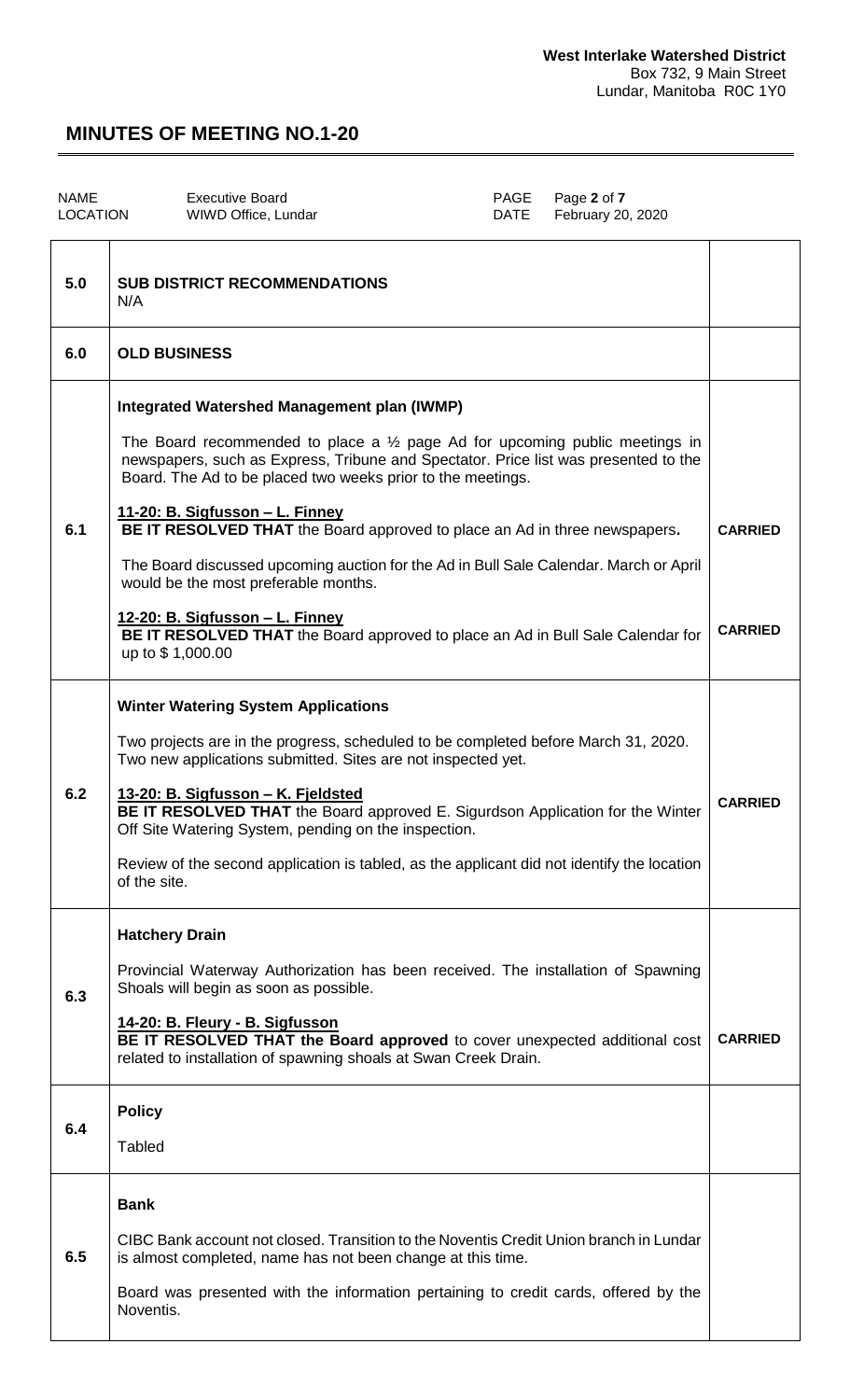| <b>NAME</b><br><b>LOCATION</b> | <b>Executive Board</b><br>WIWD Office, Lundar | PAGE | Page 2 of 7<br>DATE February 20, 2020 |  |
|--------------------------------|-----------------------------------------------|------|---------------------------------------|--|
|                                |                                               |      |                                       |  |

| 5.0 | <b>SUB DISTRICT RECOMMENDATIONS</b><br>N/A                                                                                                                                                                                                                                                                                                                                                                                                                                                                                                                                                                                                                                              |                                  |
|-----|-----------------------------------------------------------------------------------------------------------------------------------------------------------------------------------------------------------------------------------------------------------------------------------------------------------------------------------------------------------------------------------------------------------------------------------------------------------------------------------------------------------------------------------------------------------------------------------------------------------------------------------------------------------------------------------------|----------------------------------|
| 6.0 | <b>OLD BUSINESS</b>                                                                                                                                                                                                                                                                                                                                                                                                                                                                                                                                                                                                                                                                     |                                  |
| 6.1 | Integrated Watershed Management plan (IWMP)<br>The Board recommended to place a $\frac{1}{2}$ page Ad for upcoming public meetings in<br>newspapers, such as Express, Tribune and Spectator. Price list was presented to the<br>Board. The Ad to be placed two weeks prior to the meetings.<br>11-20: B. Sigfusson - L. Finney<br>BE IT RESOLVED THAT the Board approved to place an Ad in three newspapers.<br>The Board discussed upcoming auction for the Ad in Bull Sale Calendar. March or April<br>would be the most preferable months.<br>12-20: B. Sigfusson - L. Finney<br>BE IT RESOLVED THAT the Board approved to place an Ad in Bull Sale Calendar for<br>up to \$1,000.00 | <b>CARRIED</b><br><b>CARRIED</b> |
| 6.2 | <b>Winter Watering System Applications</b><br>Two projects are in the progress, scheduled to be completed before March 31, 2020.<br>Two new applications submitted. Sites are not inspected yet.<br>13-20: B. Sigfusson - K. Fjeldsted<br>BE IT RESOLVED THAT the Board approved E. Sigurdson Application for the Winter<br>Off Site Watering System, pending on the inspection.<br>Review of the second application is tabled, as the applicant did not identify the location<br>of the site.                                                                                                                                                                                          | <b>CARRIED</b>                   |
| 6.3 | <b>Hatchery Drain</b><br>Provincial Waterway Authorization has been received. The installation of Spawning<br>Shoals will begin as soon as possible.<br>14-20: B. Fleury - B. Sigfusson<br>BE IT RESOLVED THAT the Board approved to cover unexpected additional cost<br>related to installation of spawning shoals at Swan Creek Drain.                                                                                                                                                                                                                                                                                                                                                | <b>CARRIED</b>                   |
| 6.4 | <b>Policy</b><br><b>Tabled</b>                                                                                                                                                                                                                                                                                                                                                                                                                                                                                                                                                                                                                                                          |                                  |
| 6.5 | <b>Bank</b><br>CIBC Bank account not closed. Transition to the Noventis Credit Union branch in Lundar<br>is almost completed, name has not been change at this time.<br>Board was presented with the information pertaining to credit cards, offered by the<br>Noventis.                                                                                                                                                                                                                                                                                                                                                                                                                |                                  |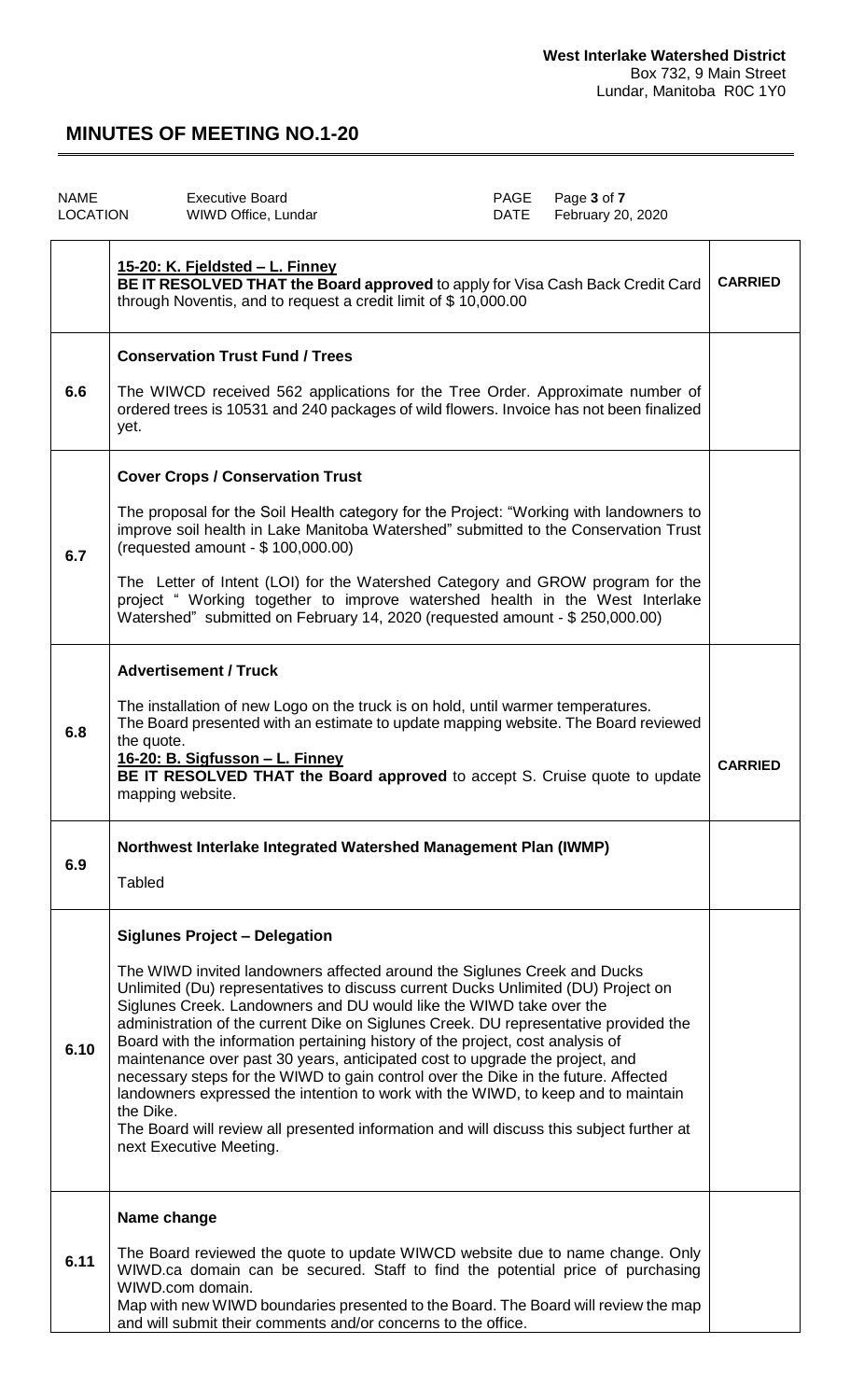| <b>NAME</b><br><b>LOCATION</b> | <b>Executive Board</b><br>WIWD Office, Lundar                                                                                                                                                                                                                                                                                                                                                                                                                                                                                                                                                                                                                                                                                                                                                                 | PAGE<br><b>DATE</b> | Page 3 of 7<br>February 20, 2020 |                |
|--------------------------------|---------------------------------------------------------------------------------------------------------------------------------------------------------------------------------------------------------------------------------------------------------------------------------------------------------------------------------------------------------------------------------------------------------------------------------------------------------------------------------------------------------------------------------------------------------------------------------------------------------------------------------------------------------------------------------------------------------------------------------------------------------------------------------------------------------------|---------------------|----------------------------------|----------------|
|                                | <u>15-20: K. Fjeldsted – L. Finney</u><br>BE IT RESOLVED THAT the Board approved to apply for Visa Cash Back Credit Card<br>through Noventis, and to request a credit limit of \$10,000.00                                                                                                                                                                                                                                                                                                                                                                                                                                                                                                                                                                                                                    |                     |                                  | <b>CARRIED</b> |
|                                | <b>Conservation Trust Fund / Trees</b>                                                                                                                                                                                                                                                                                                                                                                                                                                                                                                                                                                                                                                                                                                                                                                        |                     |                                  |                |
| 6.6                            | The WIWCD received 562 applications for the Tree Order. Approximate number of<br>ordered trees is 10531 and 240 packages of wild flowers. Invoice has not been finalized<br>yet.                                                                                                                                                                                                                                                                                                                                                                                                                                                                                                                                                                                                                              |                     |                                  |                |
|                                | <b>Cover Crops / Conservation Trust</b>                                                                                                                                                                                                                                                                                                                                                                                                                                                                                                                                                                                                                                                                                                                                                                       |                     |                                  |                |
| 6.7                            | The proposal for the Soil Health category for the Project: "Working with landowners to<br>improve soil health in Lake Manitoba Watershed" submitted to the Conservation Trust<br>(requested amount - \$ 100,000.00)                                                                                                                                                                                                                                                                                                                                                                                                                                                                                                                                                                                           |                     |                                  |                |
|                                | The Letter of Intent (LOI) for the Watershed Category and GROW program for the<br>project "Working together to improve watershed health in the West Interlake<br>Watershed" submitted on February 14, 2020 (requested amount - \$ 250,000.00)                                                                                                                                                                                                                                                                                                                                                                                                                                                                                                                                                                 |                     |                                  |                |
|                                | <b>Advertisement / Truck</b>                                                                                                                                                                                                                                                                                                                                                                                                                                                                                                                                                                                                                                                                                                                                                                                  |                     |                                  |                |
| 6.8                            | The installation of new Logo on the truck is on hold, until warmer temperatures.<br>The Board presented with an estimate to update mapping website. The Board reviewed<br>the quote.<br>16-20: B. Sigfusson - L. Finney<br>BE IT RESOLVED THAT the Board approved to accept S. Cruise quote to update<br>mapping website.                                                                                                                                                                                                                                                                                                                                                                                                                                                                                     |                     |                                  | <b>CARRIED</b> |
| 6.9                            | Northwest Interlake Integrated Watershed Management Plan (IWMP)<br><b>Tabled</b>                                                                                                                                                                                                                                                                                                                                                                                                                                                                                                                                                                                                                                                                                                                              |                     |                                  |                |
|                                | <b>Siglunes Project - Delegation</b>                                                                                                                                                                                                                                                                                                                                                                                                                                                                                                                                                                                                                                                                                                                                                                          |                     |                                  |                |
| 6.10                           | The WIWD invited landowners affected around the Siglunes Creek and Ducks<br>Unlimited (Du) representatives to discuss current Ducks Unlimited (DU) Project on<br>Siglunes Creek. Landowners and DU would like the WIWD take over the<br>administration of the current Dike on Siglunes Creek. DU representative provided the<br>Board with the information pertaining history of the project, cost analysis of<br>maintenance over past 30 years, anticipated cost to upgrade the project, and<br>necessary steps for the WIWD to gain control over the Dike in the future. Affected<br>landowners expressed the intention to work with the WIWD, to keep and to maintain<br>the Dike.<br>The Board will review all presented information and will discuss this subject further at<br>next Executive Meeting. |                     |                                  |                |
|                                | Name change                                                                                                                                                                                                                                                                                                                                                                                                                                                                                                                                                                                                                                                                                                                                                                                                   |                     |                                  |                |
| 6.11                           | The Board reviewed the quote to update WIWCD website due to name change. Only<br>WIWD.ca domain can be secured. Staff to find the potential price of purchasing<br>WIWD.com domain.<br>Map with new WIWD boundaries presented to the Board. The Board will review the map                                                                                                                                                                                                                                                                                                                                                                                                                                                                                                                                     |                     |                                  |                |
|                                | and will submit their comments and/or concerns to the office.                                                                                                                                                                                                                                                                                                                                                                                                                                                                                                                                                                                                                                                                                                                                                 |                     |                                  |                |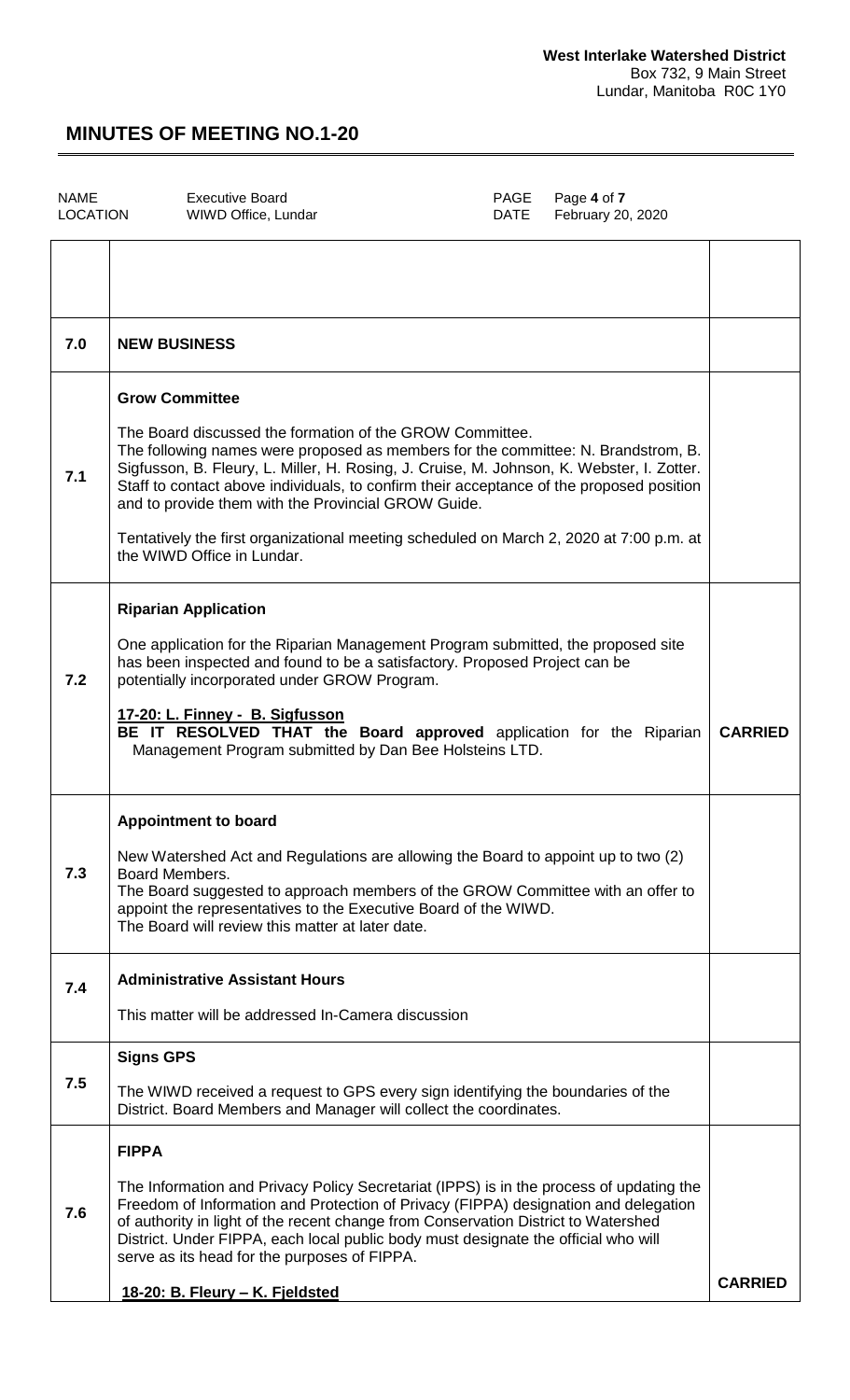| NAME     |  |
|----------|--|
| LOCATION |  |

WIWD Office, Lundar

Executive Board<br>
WIWD Office, Lundar **Executive Board

PAGE

Page 4 of <b>7**DATE

February 20, 2020

| 7.0 | <b>NEW BUSINESS</b>                                                                                                                                                                                                                                                                                                                                                                                                                                                                                                                             |                |
|-----|-------------------------------------------------------------------------------------------------------------------------------------------------------------------------------------------------------------------------------------------------------------------------------------------------------------------------------------------------------------------------------------------------------------------------------------------------------------------------------------------------------------------------------------------------|----------------|
| 7.1 | <b>Grow Committee</b><br>The Board discussed the formation of the GROW Committee.<br>The following names were proposed as members for the committee: N. Brandstrom, B.<br>Sigfusson, B. Fleury, L. Miller, H. Rosing, J. Cruise, M. Johnson, K. Webster, I. Zotter.<br>Staff to contact above individuals, to confirm their acceptance of the proposed position<br>and to provide them with the Provincial GROW Guide.<br>Tentatively the first organizational meeting scheduled on March 2, 2020 at 7:00 p.m. at<br>the WIWD Office in Lundar. |                |
| 7.2 | <b>Riparian Application</b><br>One application for the Riparian Management Program submitted, the proposed site<br>has been inspected and found to be a satisfactory. Proposed Project can be<br>potentially incorporated under GROW Program.<br>17-20: L. Finney - B. Sigfusson<br>BE IT RESOLVED THAT the Board approved application for the Riparian<br>Management Program submitted by Dan Bee Holsteins LTD.                                                                                                                               | <b>CARRIED</b> |
| 7.3 | <b>Appointment to board</b><br>New Watershed Act and Regulations are allowing the Board to appoint up to two (2)<br>Board Members.<br>The Board suggested to approach members of the GROW Committee with an offer to<br>appoint the representatives to the Executive Board of the WIWD.<br>The Board will review this matter at later date.                                                                                                                                                                                                     |                |
| 7.4 | <b>Administrative Assistant Hours</b><br>This matter will be addressed In-Camera discussion                                                                                                                                                                                                                                                                                                                                                                                                                                                     |                |
| 7.5 | <b>Signs GPS</b><br>The WIWD received a request to GPS every sign identifying the boundaries of the<br>District. Board Members and Manager will collect the coordinates.                                                                                                                                                                                                                                                                                                                                                                        |                |
| 7.6 | <b>FIPPA</b><br>The Information and Privacy Policy Secretariat (IPPS) is in the process of updating the<br>Freedom of Information and Protection of Privacy (FIPPA) designation and delegation<br>of authority in light of the recent change from Conservation District to Watershed<br>District. Under FIPPA, each local public body must designate the official who will<br>serve as its head for the purposes of FIPPA.<br>18-20: B. Fleury - K. Fjeldsted                                                                                   | <b>CARRIED</b> |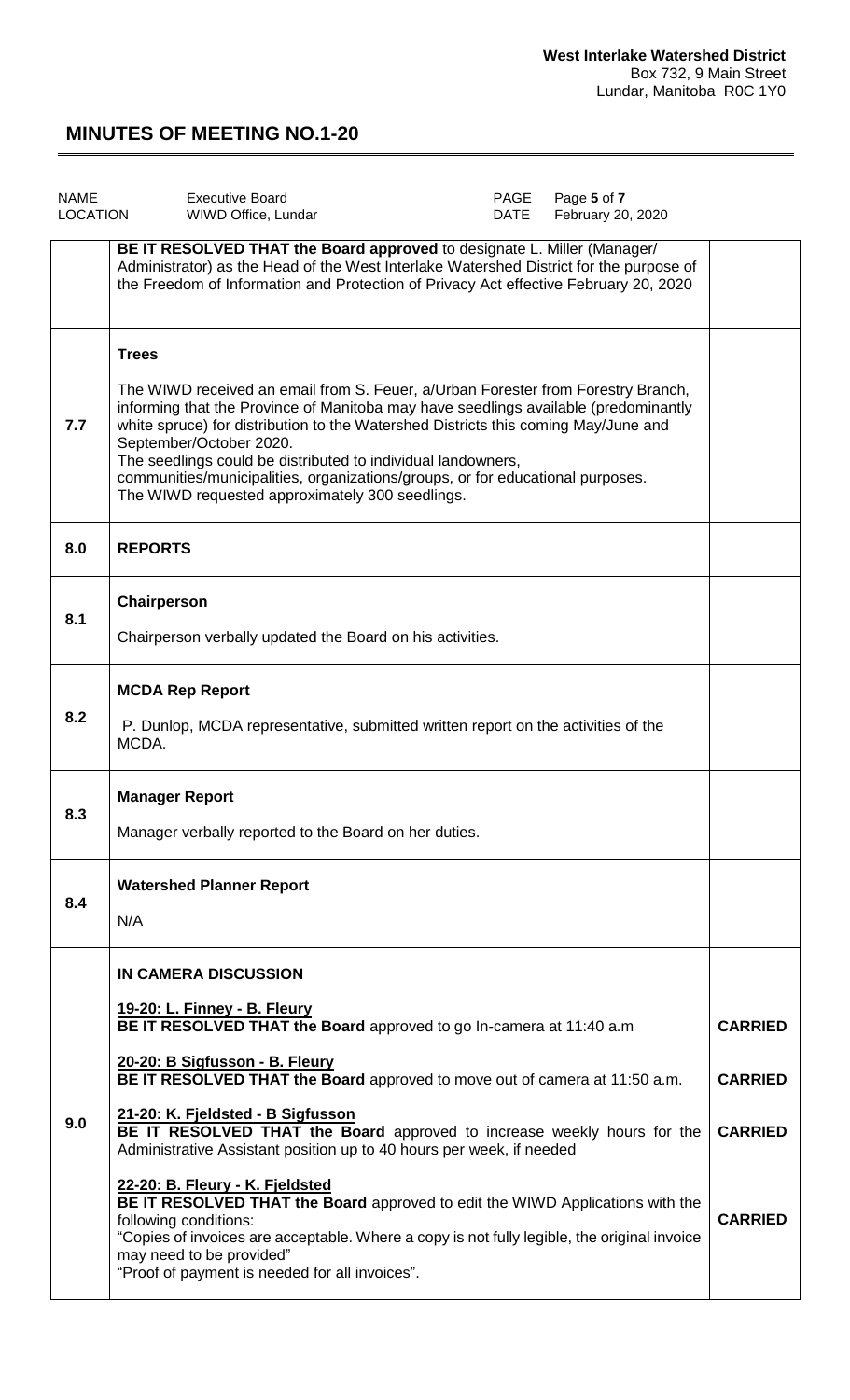| <b>NAME</b><br>LOCATION | Page 5 of 7<br><b>Executive Board</b><br>PAGE<br><b>DATE</b><br>February 20, 2020<br>WIWD Office, Lundar                                                                                                                                                                                                                                                                                                                                                                                                                                                                                                                                                                                                                                                      |                                                                      |
|-------------------------|---------------------------------------------------------------------------------------------------------------------------------------------------------------------------------------------------------------------------------------------------------------------------------------------------------------------------------------------------------------------------------------------------------------------------------------------------------------------------------------------------------------------------------------------------------------------------------------------------------------------------------------------------------------------------------------------------------------------------------------------------------------|----------------------------------------------------------------------|
|                         | BE IT RESOLVED THAT the Board approved to designate L. Miller (Manager/<br>Administrator) as the Head of the West Interlake Watershed District for the purpose of<br>the Freedom of Information and Protection of Privacy Act effective February 20, 2020                                                                                                                                                                                                                                                                                                                                                                                                                                                                                                     |                                                                      |
| 7.7                     | <b>Trees</b><br>The WIWD received an email from S. Feuer, a/Urban Forester from Forestry Branch,<br>informing that the Province of Manitoba may have seedlings available (predominantly<br>white spruce) for distribution to the Watershed Districts this coming May/June and<br>September/October 2020.<br>The seedlings could be distributed to individual landowners,<br>communities/municipalities, organizations/groups, or for educational purposes.<br>The WIWD requested approximately 300 seedlings.                                                                                                                                                                                                                                                 |                                                                      |
| 8.0                     | <b>REPORTS</b>                                                                                                                                                                                                                                                                                                                                                                                                                                                                                                                                                                                                                                                                                                                                                |                                                                      |
| 8.1                     | Chairperson<br>Chairperson verbally updated the Board on his activities.                                                                                                                                                                                                                                                                                                                                                                                                                                                                                                                                                                                                                                                                                      |                                                                      |
| 8.2                     | <b>MCDA Rep Report</b><br>P. Dunlop, MCDA representative, submitted written report on the activities of the<br>MCDA.                                                                                                                                                                                                                                                                                                                                                                                                                                                                                                                                                                                                                                          |                                                                      |
| 8.3                     | <b>Manager Report</b><br>Manager verbally reported to the Board on her duties.                                                                                                                                                                                                                                                                                                                                                                                                                                                                                                                                                                                                                                                                                |                                                                      |
| 8.4                     | <b>Watershed Planner Report</b><br>N/A                                                                                                                                                                                                                                                                                                                                                                                                                                                                                                                                                                                                                                                                                                                        |                                                                      |
| 9.0                     | IN CAMERA DISCUSSION<br>19-20: L. Finney - B. Fleury<br>BE IT RESOLVED THAT the Board approved to go In-camera at 11:40 a.m<br>20-20: B Sigfusson - B. Fleury<br>BE IT RESOLVED THAT the Board approved to move out of camera at 11:50 a.m.<br>21-20: K. Fjeldsted - B Sigfusson<br>BE IT RESOLVED THAT the Board approved to increase weekly hours for the<br>Administrative Assistant position up to 40 hours per week, if needed<br>22-20: B. Fleury - K. Fjeldsted<br>BE IT RESOLVED THAT the Board approved to edit the WIWD Applications with the<br>following conditions:<br>"Copies of invoices are acceptable. Where a copy is not fully legible, the original invoice<br>may need to be provided"<br>"Proof of payment is needed for all invoices". | <b>CARRIED</b><br><b>CARRIED</b><br><b>CARRIED</b><br><b>CARRIED</b> |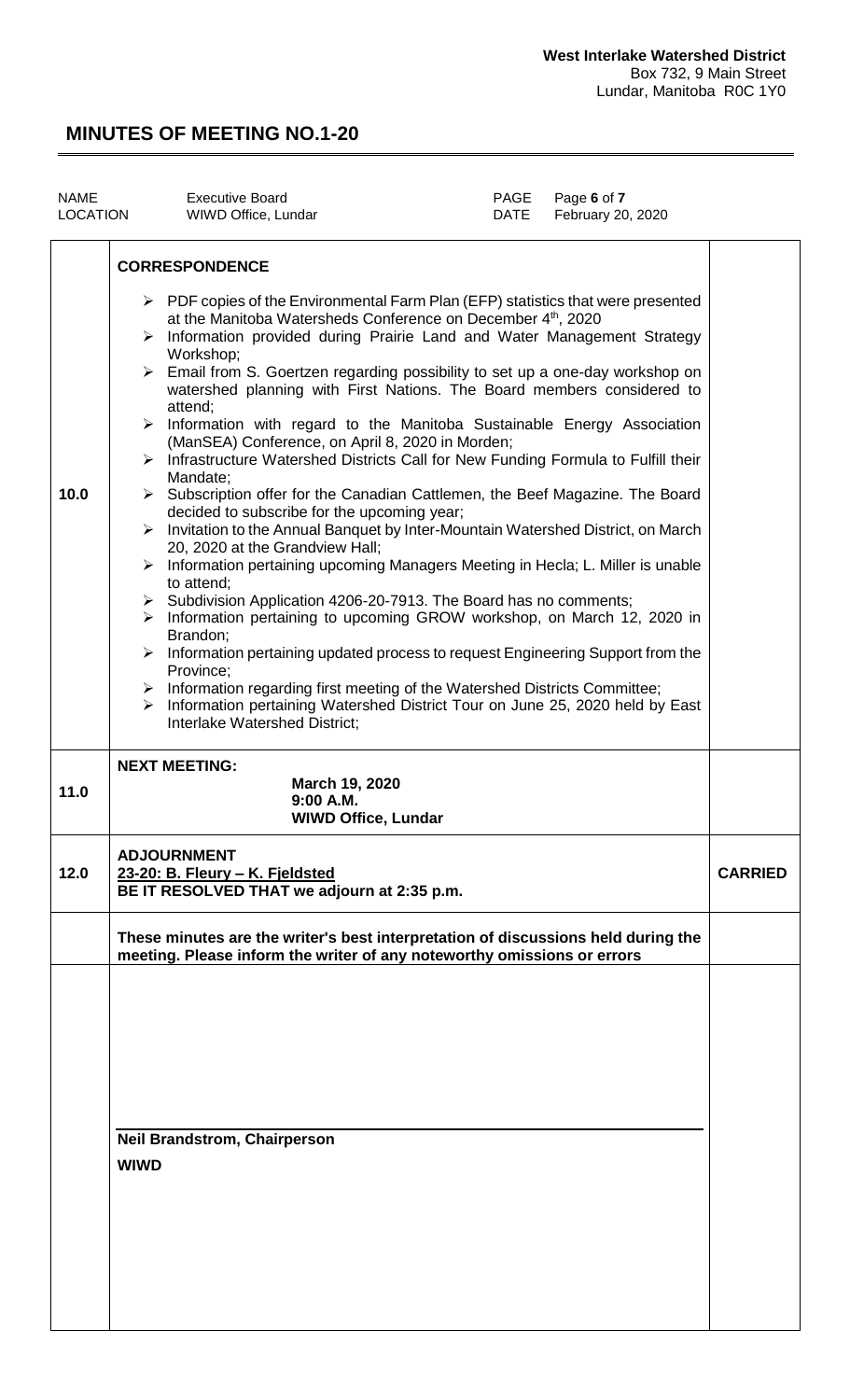| <b>NAME</b><br>LOCATION | Page 6 of 7<br><b>Executive Board</b><br>PAGE<br>February 20, 2020<br>WIWD Office, Lundar<br>DATE                                                                                                                                                                                                                                                                                                                                                                                                                                                                                                                                                                                                                                                                                                                                                                                                                                                                                                                                                                                                                                                                                                                                                                                                                                                                                                                                                                                                                                                                                                         |  |
|-------------------------|-----------------------------------------------------------------------------------------------------------------------------------------------------------------------------------------------------------------------------------------------------------------------------------------------------------------------------------------------------------------------------------------------------------------------------------------------------------------------------------------------------------------------------------------------------------------------------------------------------------------------------------------------------------------------------------------------------------------------------------------------------------------------------------------------------------------------------------------------------------------------------------------------------------------------------------------------------------------------------------------------------------------------------------------------------------------------------------------------------------------------------------------------------------------------------------------------------------------------------------------------------------------------------------------------------------------------------------------------------------------------------------------------------------------------------------------------------------------------------------------------------------------------------------------------------------------------------------------------------------|--|
| 10.0                    | <b>CORRESPONDENCE</b><br>$\triangleright$ PDF copies of the Environmental Farm Plan (EFP) statistics that were presented<br>at the Manitoba Watersheds Conference on December 4th, 2020<br>Information provided during Prairie Land and Water Management Strategy<br>➤<br>Workshop;<br>Email from S. Goertzen regarding possibility to set up a one-day workshop on<br>➤<br>watershed planning with First Nations. The Board members considered to<br>attend;<br>Information with regard to the Manitoba Sustainable Energy Association<br>➤<br>(ManSEA) Conference, on April 8, 2020 in Morden;<br>Infrastructure Watershed Districts Call for New Funding Formula to Fulfill their<br>$\blacktriangleright$<br>Mandate;<br>► Subscription offer for the Canadian Cattlemen, the Beef Magazine. The Board<br>decided to subscribe for the upcoming year;<br>Invitation to the Annual Banquet by Inter-Mountain Watershed District, on March<br>$\blacktriangleright$<br>20, 2020 at the Grandview Hall;<br>Information pertaining upcoming Managers Meeting in Hecla; L. Miller is unable<br>➤<br>to attend;<br>$\triangleright$ Subdivision Application 4206-20-7913. The Board has no comments;<br>Information pertaining to upcoming GROW workshop, on March 12, 2020 in<br>➤<br>Brandon;<br>Information pertaining updated process to request Engineering Support from the<br>➤<br>Province;<br>Information regarding first meeting of the Watershed Districts Committee;<br>➤<br>Information pertaining Watershed District Tour on June 25, 2020 held by East<br>➤<br>Interlake Watershed District; |  |
| 11.0                    | <b>NEXT MEETING:</b><br>March 19, 2020<br>9.NO A M<br><b>WIWD Office, Lundar</b>                                                                                                                                                                                                                                                                                                                                                                                                                                                                                                                                                                                                                                                                                                                                                                                                                                                                                                                                                                                                                                                                                                                                                                                                                                                                                                                                                                                                                                                                                                                          |  |
| 12.0                    | <b>ADJOURNMENT</b><br>23-20: B. Fleury - K. Fjeldsted<br>BE IT RESOLVED THAT we adjourn at 2:35 p.m.                                                                                                                                                                                                                                                                                                                                                                                                                                                                                                                                                                                                                                                                                                                                                                                                                                                                                                                                                                                                                                                                                                                                                                                                                                                                                                                                                                                                                                                                                                      |  |
|                         | These minutes are the writer's best interpretation of discussions held during the<br>meeting. Please inform the writer of any noteworthy omissions or errors                                                                                                                                                                                                                                                                                                                                                                                                                                                                                                                                                                                                                                                                                                                                                                                                                                                                                                                                                                                                                                                                                                                                                                                                                                                                                                                                                                                                                                              |  |
|                         | <b>Neil Brandstrom, Chairperson</b><br><b>WIWD</b>                                                                                                                                                                                                                                                                                                                                                                                                                                                                                                                                                                                                                                                                                                                                                                                                                                                                                                                                                                                                                                                                                                                                                                                                                                                                                                                                                                                                                                                                                                                                                        |  |